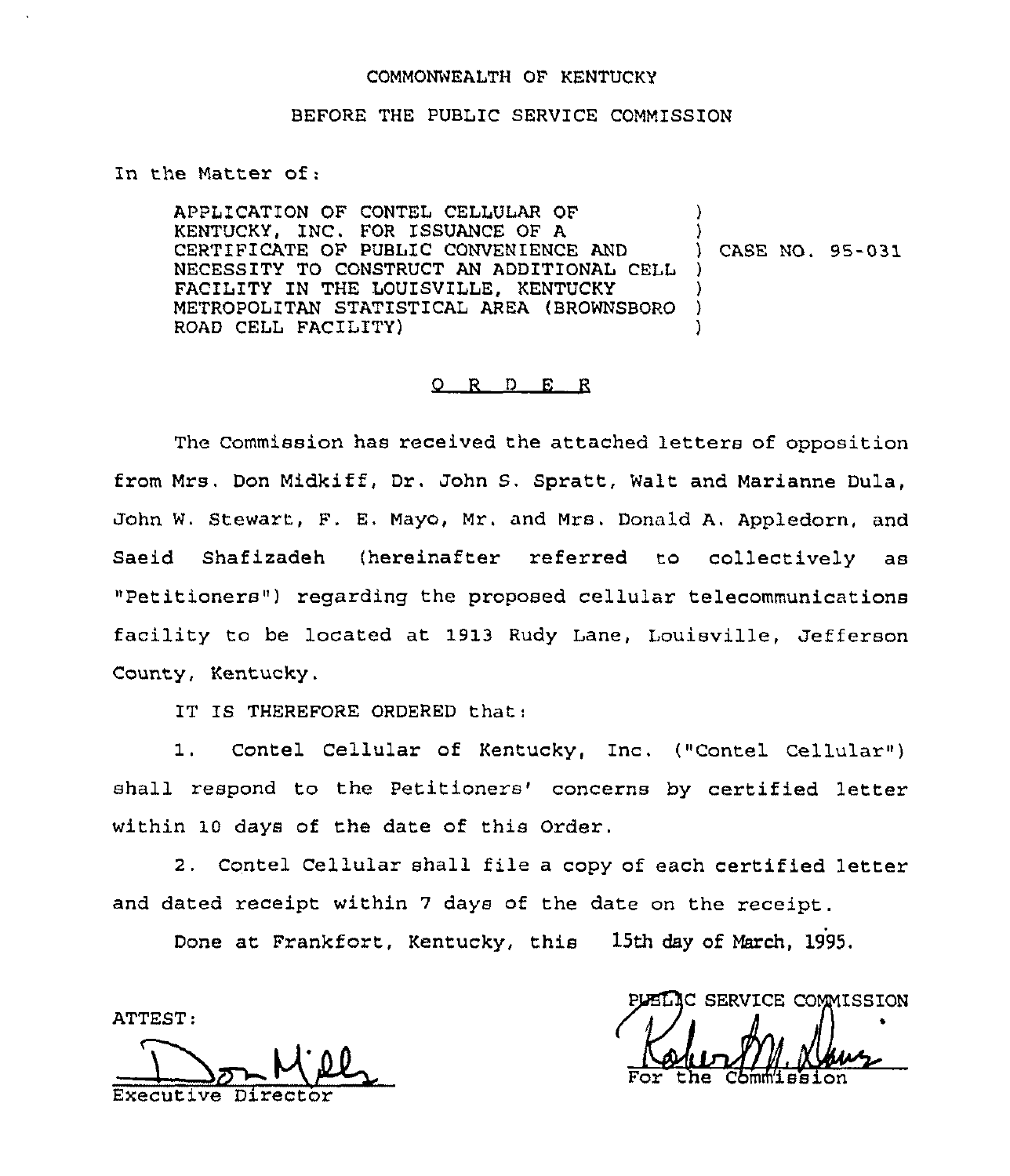### COMMONWEALTH OF KENTUCKY

#### BEFORE THE PUBLIC SERVICE COMMISSION

### In the Matter of:

APPLICATION OF CONTEL CELLULAR OF KENTUCKY, INC. FOR ISSUANCE OF A CERTIFICATE OF PUBLIC CONVENIENCE AND NECESSITY TO CONSTRUCT AN ADDITIONAL CELL FACILITY IN THE LOUISVILLE, KENTUCKY METROPOLITAN STATISTICAL AREA (BROWNSBORO ROAD CELL FACILITY) ) ) ) CASE NO. 95-031 ) ) ) )

### 0 R <sup>D</sup> E <sup>R</sup>

The Commission has received the attached letters of opposition from Mrs, Don Midkiff, Dr. John S. Spratt, Walt and Marianne Dula, John W. Stewart, F. E, Mayo, Mr. and Mrs. Donald A. Appledorn, and Saeid Shafizadeh (hereinafter referred to collectively as "Petitioners" ) regarding the proposed cellular telecommunications facility to be located at 1913 Rudy Lane, Louisville, Jefferson County, Kentucky.

IT IS THEREFORE ORDERED that:

1. Contel Cellular of Kentucky, Inc. ("Contel Cellular") shall respond to the Petitioners' concerns by certified letter within 10 days of the date of this Order.

2. Contel Cellular shall file <sup>a</sup> copy of each certified letter and dated receipt within <sup>7</sup> days of the date on the receipt.

Done at Frankfort, Kentucky, this 15th day of March, 1995.

ATTEST:

Executive Director For the Commission

IC SERVICE COMMISSION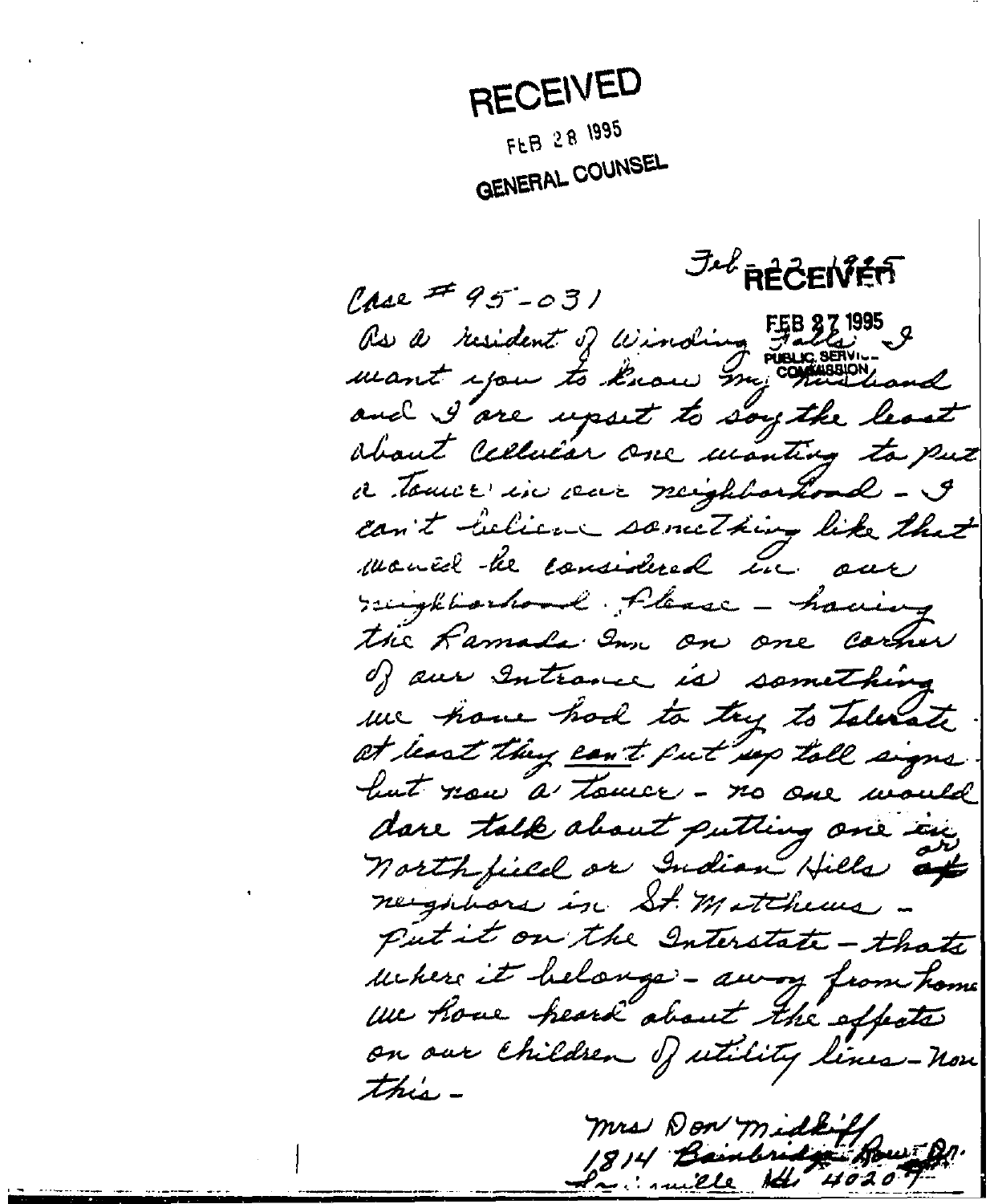RECEIVED FLB 28 1995 GENERAL COUNSEL

**Jul RECENTER**  $Case 45 - 031$ Rs a resident of winding Falls & mant you to know my common and I are upset to soy the least about cellular one monting to put a touch in our mighborhood - I can't lection something like that monid he considered in our reighteenhood Please - having the Ramada Inn on one carner of our Intrance is something we have had to try to Talenate at least they can't fut up tall signs but now a touce - no one would dare talk about putting one in north field or Indian Hills at neighbors in St. Matchews put it on the Interstate - thats uckers it belonge - away from home we have heard about the effects on our children of utility lines-non this mrs Don middle

invite the 40207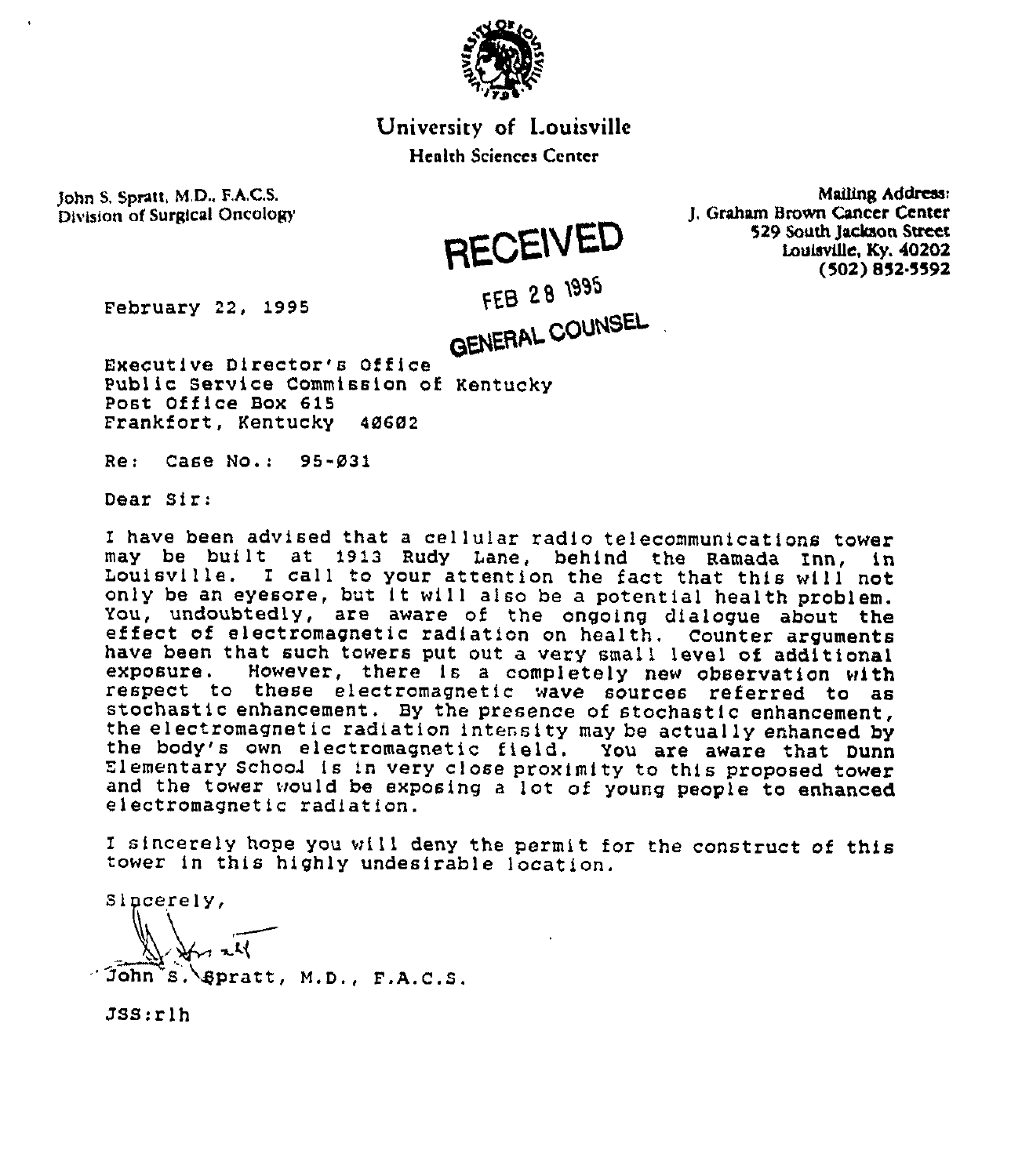

# University of Louisville

### Heahh Sciences Center

FEB 28 1995

**RECEIVED** 

John S, Spratt, M.D., F.A.C.S. Division of Surgical Oncology

Mailing Address: J, Graham Brown Cancer Center 529 South Jackson Sueet Louisville, Ky. 40202 (502) 852.5592

February 22, 1995

GENERAL COUNSEL Executive Director's Office Public Service Commission of Kentucky Post Office Box 615 Frankfort, Kentucky 48682

Re: Case No.: 95-831

Dear Sir:

I have been advised that <sup>a</sup> cellular radio telecommunications tower Louisville. I call to your attention the fact that this will not only be an eyesore, but it will also be a potential health problem.<br>You, undoubtedly, are aware of the ongoing dialogue about the effect of electromagnetic radiation on health. Counter arguments have been that such towers put out a very small level of additional<br>exposure. However, there is a completely new observation with exposure. However, there is a completely new observation with respect to these electromagnetic wave sources referred to as stochastic enhancement. By the presence of stochastic enhancement,<br>the electromagnetic radiation intensity may be actually enhanced by<br>the body's own electromagnetic field. You are aware that Dunn<br>Elementary School is in v and the tower would be exposing <sup>a</sup> lot of young people to enhanced electromagnetic radiation.

I sincerely hope you will deny the permit for the construct of this tower in this highly undesirable location.

Sincerely,

'ohn S.~4pratt, M.D., F.A.C.S.

JSS:rlh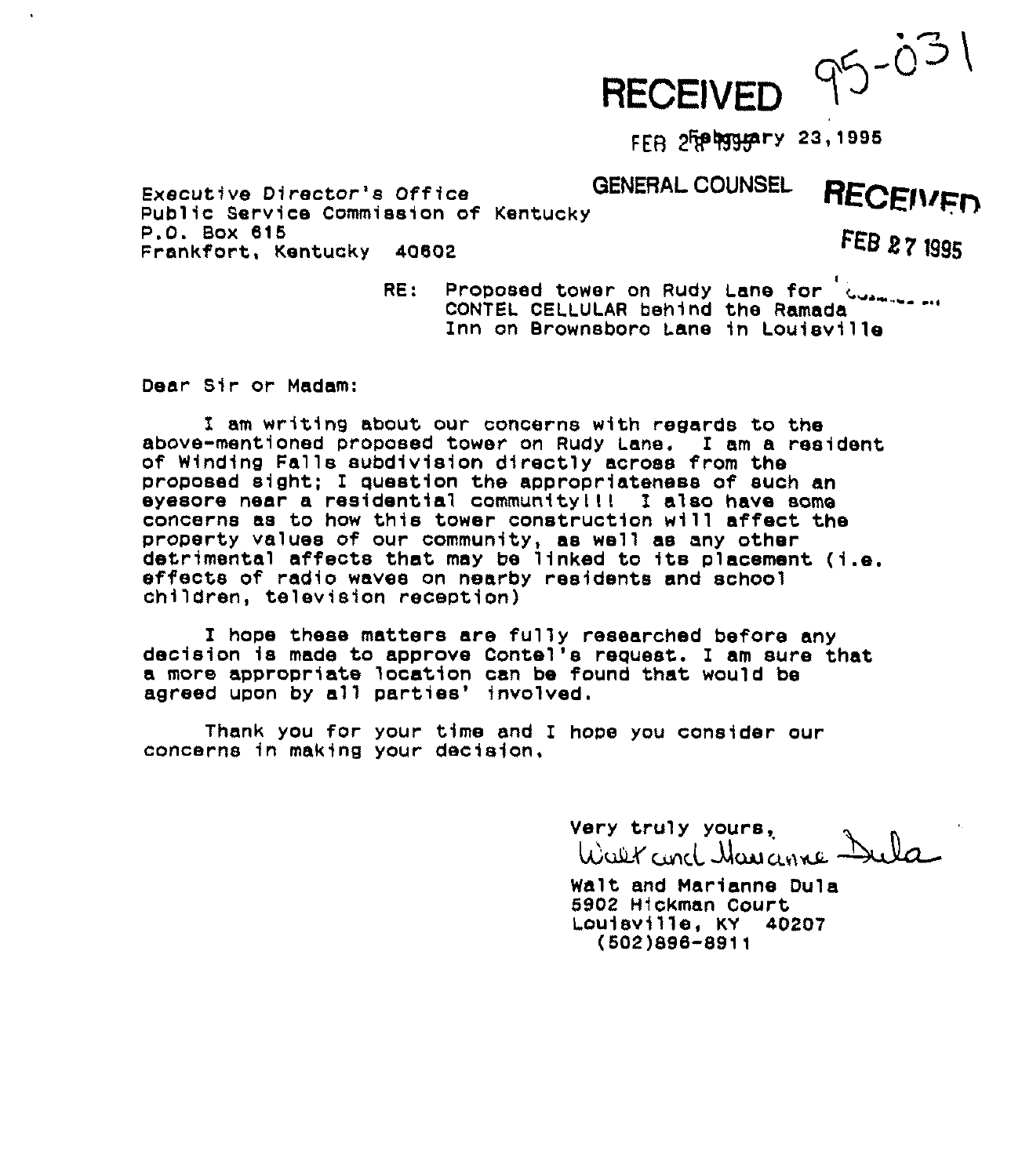

FER 2Frebygyary 23,1995

Executive Director's Office GENERAL COUNSEL Executive Director's Office<br>Public Service Commission of Kentucky<br>P.O. Box 615<br>Persistent Ventucky Angos P.O. Sox 816 Frankfort, Kentucky 40602

I RE: Proposed tower on Rudy Lane for <sup>'</sup>......<br>CONTEL CELLULAR behind the Ramada CONTEL CELLULAR behind the Ramada Inn on Brownsboro Lane in Louisville

Dear Sir or Madam:

I am writing about our concerns with regards to ths above-mentioned proposed tower on Rudy Lans. I am a resident of Winding Falls subdivision directly across from the proposed sight; I question the appropriateness of such an eyesore near a residential communitylll I also have some concerns as to how this tower construction will affect the property values of our community, as well as any other detrimental affects that may be linked to its placement (i.e.<br>effects of radio waves on nearby residents and school children, television reception)

I hope these matters are fully researched before any decision is made to approve Contel's request. I am sure that a more appropriate location can be found that would be agreed upon by all parties' involved.

Thank you for your time and I hope you consider our concerns in making your decision,

> Very truly yours, Walt and Havanne Dula

Walt and Marianne Dula 6902 Hickman Court Louisville, KY 40207 (602)898-8911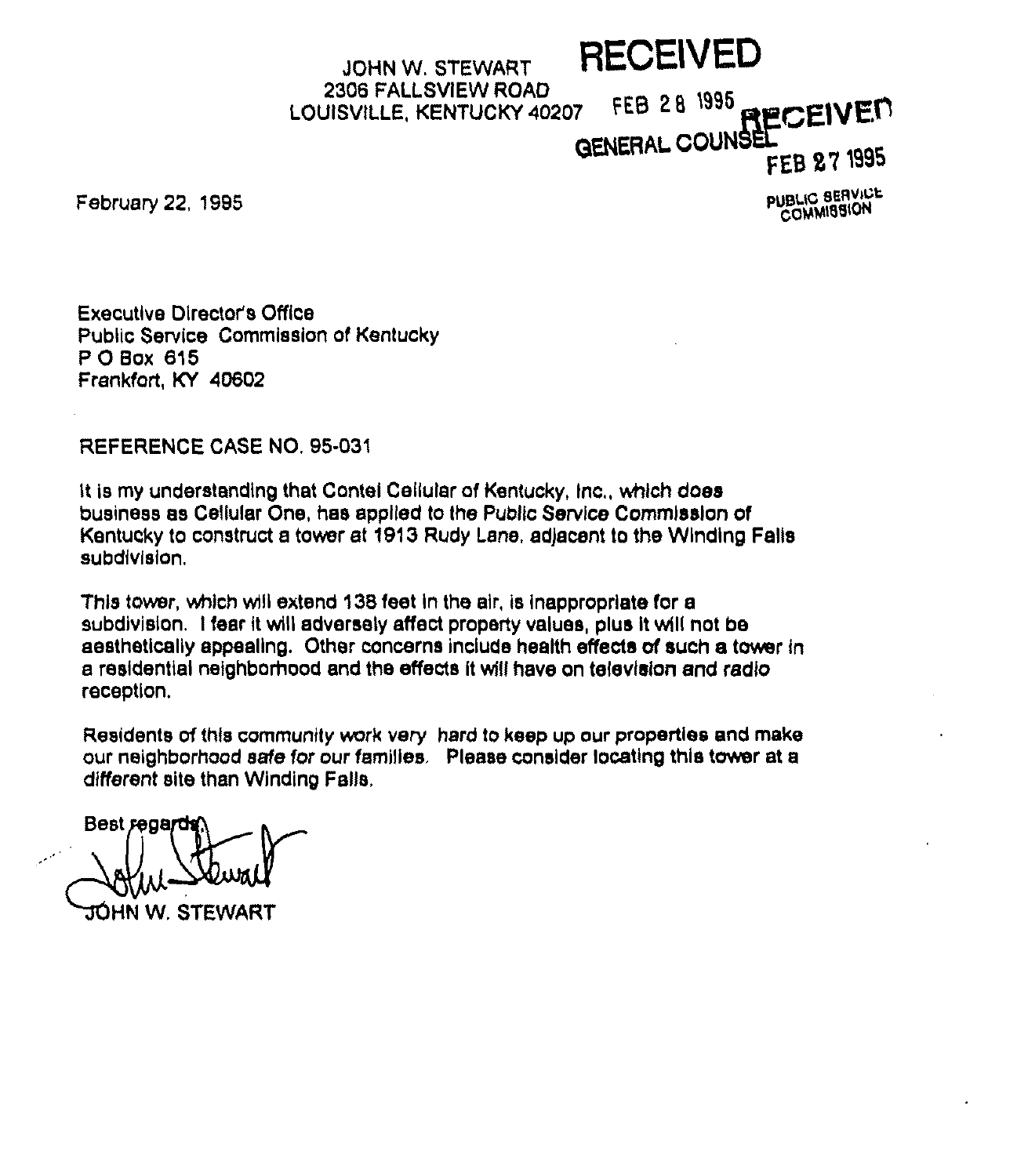# JOHN W. STEWART RECEIVED 2306 FALLSVIEW ROAD LOUISVILLE, KENTUCKY 40207 FEB 28 1995 RECEIVED **GENERAL COUNSE**

FEB 27 1995

February 22, 1995

**PUBLIC SERVICE COMMISSION** 

Executive Director's Office Public Service Commission of Kentucky <sup>P</sup> 0 Box 815 Frankfort, KY 40802

REFERENCE CASE NO. 95-031

It is my understanding that Contel Cellular of Kentucky, Inc., which does business as Cellular One, has applied to the Public Service Commission of Kentucky to construct a tower at 1913 Rudy Lane, adjacent to the Winding Falls subdivision,

This tower, which will extend 138feet in the air, is inappropriate for a subdivision. I fear it will adversely affect property values, plus it will not be aesthetically appealing, Other concerns include health effects of such a tower ln a residential neighborhood and the effects it will have on television and radio reception.

Residents of this community work very hard to keep up our properties and make our neighborhood safe for our families, Please consider locating this tower at a different site than Winding Falls,

Best regard JÓHN W. STEWART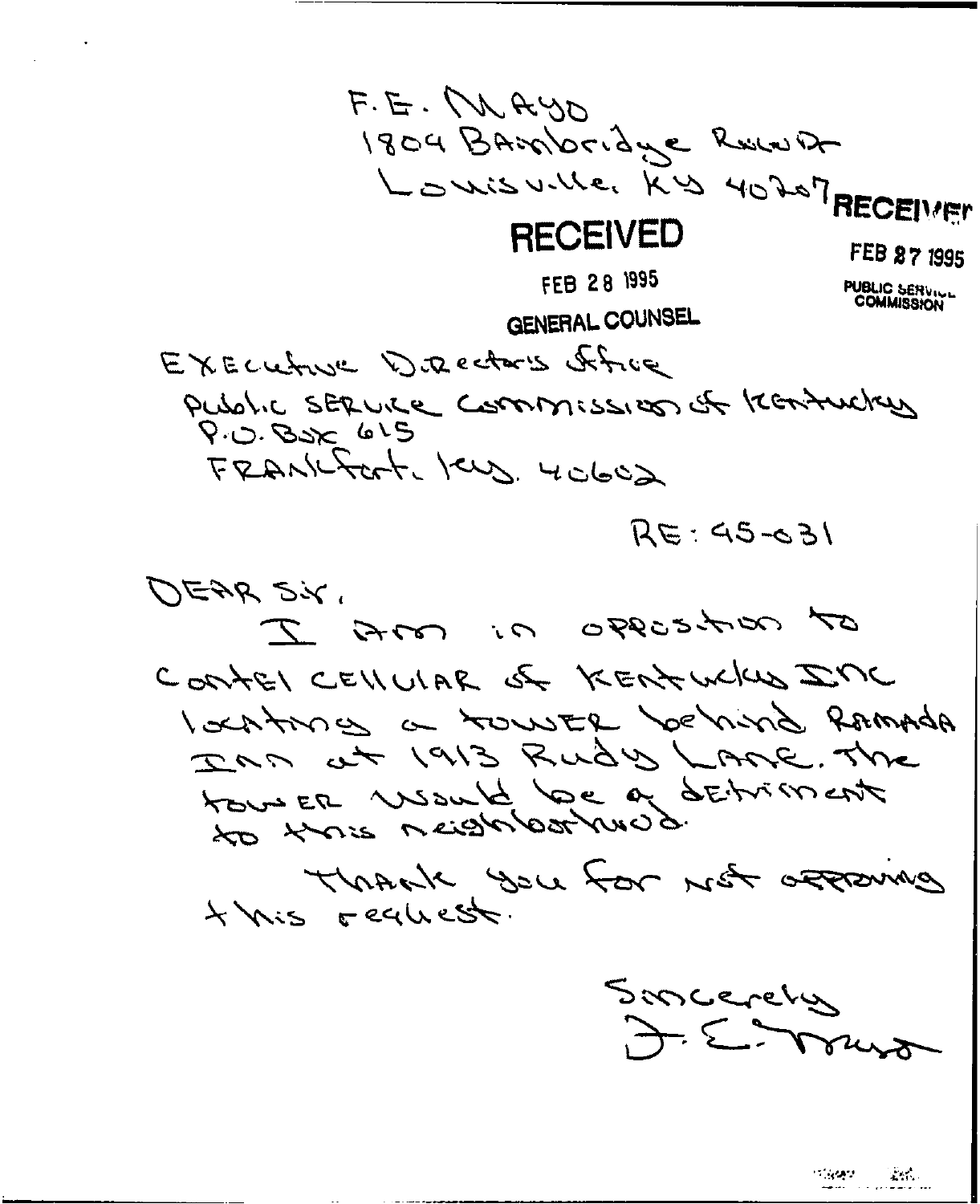F.E. MAYO 1804 BANDordye Revent LOWISVILLE, KIS 40207 RECEIMEN **RECEIVED** FEB 27 1995 FEB 28 1995 **PUBLIC SERVICE**<br>COMMISSION GENERAL COUNSEL EXECUTIVE DIRECTORS Afric Public SERVICE Commission of KERAUCKER  $9.0.825615$ FRANKFOrt Jers. 40602  $RE: 45 - 31$ レミッと こく of ansesses in ans to CONTEL CELLULAR OF KENTUCKUS INC I action as a rouster behind Romada DAM at 1913 Rudy LAME. The touser visuit loe à detriment Thrack you for not account 4 Mis Fechest. Soncerely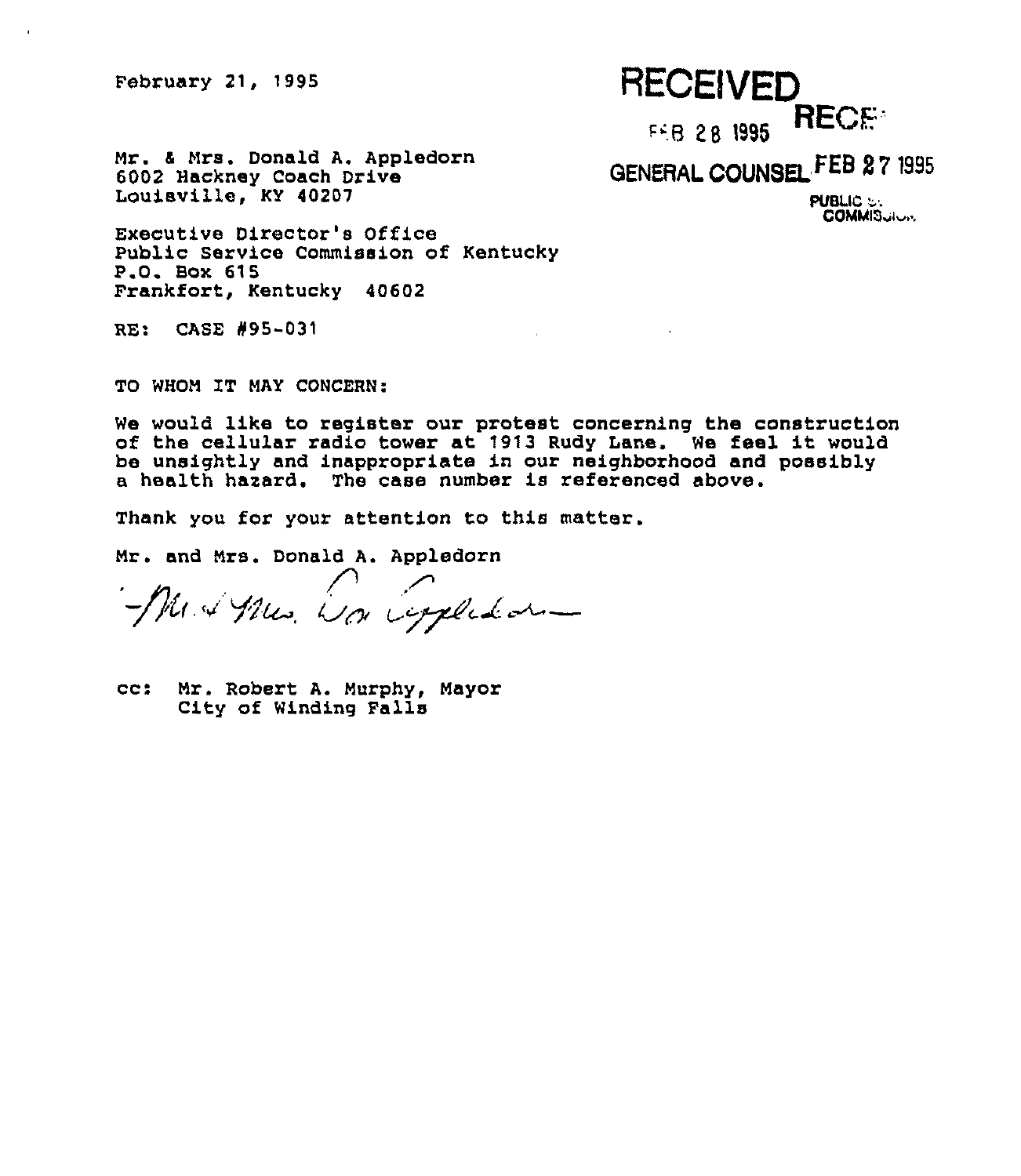February 21, 1995

# **RECEIVED** FEB 28 1995 RECE

Mr. 6 Nrs. Donald A. Appledorn 6002 Hackney Coach Drive Louisville, KY 40207

GENERAL COUNSEL FEB 27 1995

PUBLIC ": COMMIS<sub>ville</sub>

Executive Director's Office Public Service Commission of Kentucky P.Q. Box 615 Frankfort, Kentucky 40602

RE: CASE #95-031

TO WHOM IT MAY CONCERN:

We would like to register our protest concerning the construction of the cellular radio tower at '1913 Rudy Lane. We feel it would be unsightly and inappropriate in our neighborhood and possibly a health harard. The case number is referenced above.

Thank you for your attention to this matter.

Nr. and Nrs. Donald A. Appledorn

Med Mes. La Copledar

cc: Nr. Robert A. Murphy, Nayor City of Winding Falls